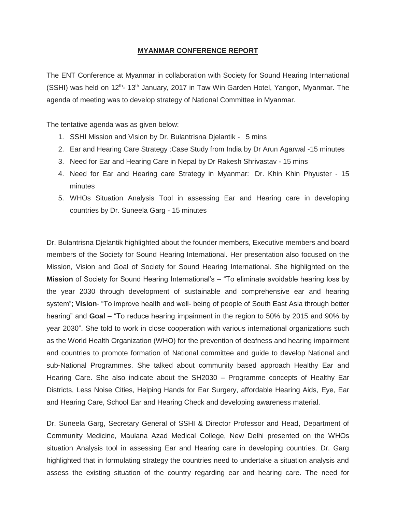## **MYANMAR CONFERENCE REPORT**

The ENT Conference at Myanmar in collaboration with Society for Sound Hearing International (SSHI) was held on 12<sup>th</sup>- 13<sup>th</sup> January, 2017 in Taw Win Garden Hotel, Yangon, Myanmar. The agenda of meeting was to develop strategy of National Committee in Myanmar.

The tentative agenda was as given below:

- 1. SSHI Mission and Vision by Dr. Bulantrisna Djelantik 5 mins
- 2. Ear and Hearing Care Strategy :Case Study from India by Dr Arun Agarwal -15 minutes
- 3. Need for Ear and Hearing Care in Nepal by Dr Rakesh Shrivastav 15 mins
- 4. Need for Ear and Hearing care Strategy in Myanmar: Dr. Khin Khin Phyuster 15 minutes
- 5. WHOs Situation Analysis Tool in assessing Ear and Hearing care in developing countries by Dr. Suneela Garg - 15 minutes

Dr. Bulantrisna Djelantik highlighted about the founder members, Executive members and board members of the Society for Sound Hearing International. Her presentation also focused on the Mission, Vision and Goal of Society for Sound Hearing International. She highlighted on the **Mission** of Society for Sound Hearing International's – "To eliminate avoidable hearing loss by the year 2030 through development of sustainable and comprehensive ear and hearing system"; **Vision**- "To improve health and well- being of people of South East Asia through better hearing" and **Goal** – "To reduce hearing impairment in the region to 50% by 2015 and 90% by year 2030". She told to work in close cooperation with various international organizations such as the World Health Organization (WHO) for the prevention of deafness and hearing impairment and countries to promote formation of National committee and guide to develop National and sub-National Programmes. She talked about community based approach Healthy Ear and Hearing Care. She also indicate about the SH2030 – Programme concepts of Healthy Ear Districts, Less Noise Cities, Helping Hands for Ear Surgery, affordable Hearing Aids, Eye, Ear and Hearing Care, School Ear and Hearing Check and developing awareness material.

Dr. Suneela Garg, Secretary General of SSHI & Director Professor and Head, Department of Community Medicine, Maulana Azad Medical College, New Delhi presented on the WHOs situation Analysis tool in assessing Ear and Hearing care in developing countries. Dr. Garg highlighted that in formulating strategy the countries need to undertake a situation analysis and assess the existing situation of the country regarding ear and hearing care. The need for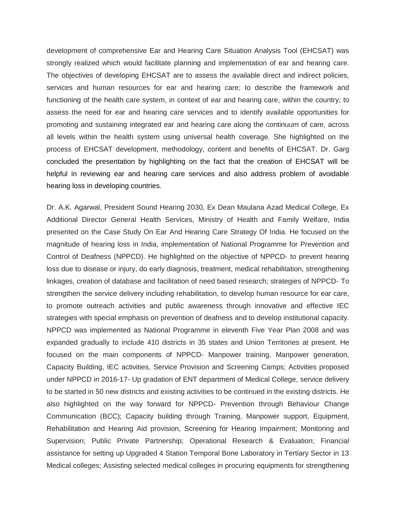development of comprehensive Ear and Hearing Care Situation Analysis Tool (EHCSAT) was strongly realized which would facilitate planning and implementation of ear and hearing care. The objectives of developing EHCSAT are to assess the available direct and indirect policies, services and human resources for ear and hearing care; to describe the framework and functioning of the health care system, in context of ear and hearing care, within the country; to assess the need for ear and hearing care services and to identify available opportunities for promoting and sustaining integrated ear and hearing care along the continuum of care, across all levels within the health system using universal health coverage. She highlighted on the process of EHCSAT development, methodology, content and benefits of EHCSAT. Dr. Garg concluded the presentation by highlighting on the fact that the creation of EHCSAT will be helpful in reviewing ear and hearing care services and also address problem of avoidable hearing loss in developing countries.

Dr. A.K. Agarwal, President Sound Hearing 2030, Ex Dean Maulana Azad Medical College, Ex Additional Director General Health Services, Ministry of Health and Family Welfare, India presented on the Case Study On Ear And Hearing Care Strategy Of India. He focused on the magnitude of hearing loss in India, implementation of National Programme for Prevention and Control of Deafness (NPPCD). He highlighted on the objective of NPPCD- to prevent hearing loss due to disease or injury, do early diagnosis, treatment, medical rehabilitation, strengthening linkages, creation of database and facilitation of need based research; strategies of NPPCD- To strengthen the service delivery including rehabilitation, to develop human resource for ear care, to promote outreach activities and public awareness through innovative and effective IEC strategies with special emphasis on prevention of deafness and to develop institutional capacity. NPPCD was implemented as National Programme in eleventh Five Year Plan 2008 and was expanded gradually to include 410 districts in 35 states and Union Territories at present. He focused on the main components of NPPCD- Manpower training, Manpower generation, Capacity Building, IEC activities, Service Provision and Screening Camps; Activities proposed under NPPCD in 2016-17- Up gradation of ENT department of Medical College, service delivery to be started in 50 new districts and existing activities to be continued in the existing districts. He also highlighted on the way forward for NPPCD- Prevention through Behaviour Change Communication (BCC); Capacity building through Training, Manpower support, Equipment, Rehabilitation and Hearing Aid provision, Screening for Hearing Impairment; Monitoring and Supervision; Public Private Partnership; Operational Research & Evaluation; Financial assistance for setting up Upgraded 4 Station Temporal Bone Laboratory in Tertiary Sector in 13 Medical colleges; Assisting selected medical colleges in procuring equipments for strengthening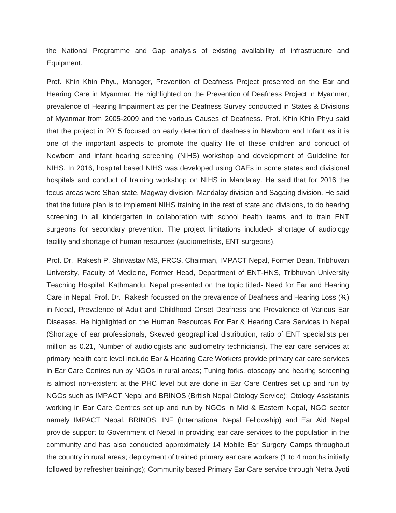the National Programme and Gap analysis of existing availability of infrastructure and Equipment.

Prof. Khin Khin Phyu, Manager, Prevention of Deafness Project presented on the Ear and Hearing Care in Myanmar. He highlighted on the Prevention of Deafness Project in Myanmar, prevalence of Hearing Impairment as per the Deafness Survey conducted in States & Divisions of Myanmar from 2005-2009 and the various Causes of Deafness. Prof. Khin Khin Phyu said that the project in 2015 focused on early detection of deafness in Newborn and Infant as it is one of the important aspects to promote the quality life of these children and conduct of Newborn and infant hearing screening (NIHS) workshop and development of Guideline for NIHS. In 2016, hospital based NIHS was developed using OAEs in some states and divisional hospitals and conduct of training workshop on NIHS in Mandalay. He said that for 2016 the focus areas were Shan state, Magway division, Mandalay division and Sagaing division. He said that the future plan is to implement NIHS training in the rest of state and divisions, to do hearing screening in all kindergarten in collaboration with school health teams and to train ENT surgeons for secondary prevention. The project limitations included- shortage of audiology facility and shortage of human resources (audiometrists, ENT surgeons).

Prof. Dr. Rakesh P. Shrivastav MS, FRCS, Chairman, IMPACT Nepal, Former Dean, Tribhuvan University, Faculty of Medicine, Former Head, Department of ENT-HNS, Tribhuvan University Teaching Hospital, Kathmandu, Nepal presented on the topic titled- Need for Ear and Hearing Care in Nepal. Prof. Dr. Rakesh focussed on the prevalence of Deafness and Hearing Loss (%) in Nepal, Prevalence of Adult and Childhood Onset Deafness and Prevalence of Various Ear Diseases. He highlighted on the Human Resources For Ear & Hearing Care Services in Nepal (Shortage of ear professionals, Skewed geographical distribution, ratio of ENT specialists per million as 0.21, Number of audiologists and audiometry technicians). The ear care services at primary health care level include Ear & Hearing Care Workers provide primary ear care services in Ear Care Centres run by NGOs in rural areas; Tuning forks, otoscopy and hearing screening is almost non-existent at the PHC level but are done in Ear Care Centres set up and run by NGOs such as IMPACT Nepal and BRINOS (British Nepal Otology Service); Otology Assistants working in Ear Care Centres set up and run by NGOs in Mid & Eastern Nepal, NGO sector namely IMPACT Nepal, BRINOS, INF (International Nepal Fellowship) and Ear Aid Nepal provide support to Government of Nepal in providing ear care services to the population in the community and has also conducted approximately 14 Mobile Ear Surgery Camps throughout the country in rural areas; deployment of trained primary ear care workers (1 to 4 months initially followed by refresher trainings); Community based Primary Ear Care service through Netra Jyoti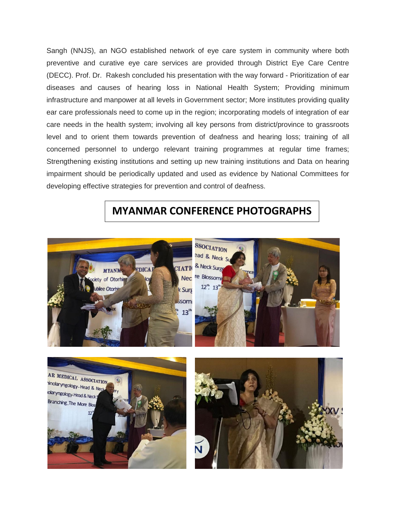Sangh (NNJS), an NGO established network of eye care system in community where both preventive and curative eye care services are provided through District Eye Care Centre (DECC). Prof. Dr. Rakesh concluded his presentation with the way forward - Prioritization of ear diseases and causes of hearing loss in National Health System; Providing minimum infrastructure and manpower at all levels in Government sector; More institutes providing quality ear care professionals need to come up in the region; incorporating models of integration of ear care needs in the health system; involving all key persons from district/province to grassroots level and to orient them towards prevention of deafness and hearing loss; training of all concerned personnel to undergo relevant training programmes at regular time frames; Strengthening existing institutions and setting up new training institutions and Data on hearing impairment should be periodically updated and used as evidence by National Committees for developing effective strategies for prevention and control of deafness.

## **MYANMAR CONFERENCE PHOTOGRAPHS**